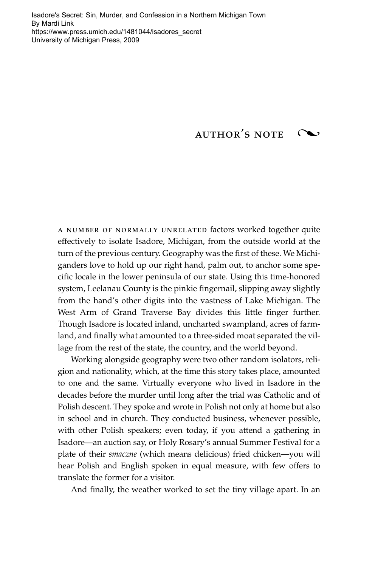[Isadore's Secret: Sin, Murder, and Confession in a Northern Michigan Town](https://www.press.umich.edu/1481044/isadores_secret)  By Mardi Link https://www.press.umich.edu/1481044/isadores\_secret University of Michigan Press, 2009

## AUTHOR'S NOTE  $\infty$

a number of normally unrelated factors worked together quite effectively to isolate Isadore, Michigan, from the outside world at the turn of the previous century. Geography was the first of these. We Michiganders love to hold up our right hand, palm out, to anchor some specific locale in the lower peninsula of our state. Using this time-honored system, Leelanau County is the pinkie fingernail, slipping away slightly from the hand's other digits into the vastness of Lake Michigan. The West Arm of Grand Traverse Bay divides this little finger further. Though Isadore is located inland, uncharted swampland, acres of farmland, and finally what amounted to a three-sided moat separated the village from the rest of the state, the country, and the world beyond.

Working alongside geography were two other random isolators, religion and nationality, which, at the time this story takes place, amounted to one and the same. Virtually everyone who lived in Isadore in the decades before the murder until long after the trial was Catholic and of Polish descent. They spoke and wrote in Polish not only at home but also in school and in church. They conducted business, whenever possible, with other Polish speakers; even today, if you attend a gathering in Isadore—an auction say, or Holy Rosary's annual Summer Festival for a plate of their *smaczne* (which means delicious) fried chicken—you will hear Polish and English spoken in equal measure, with few offers to translate the former for a visitor.

And finally, the weather worked to set the tiny village apart. In an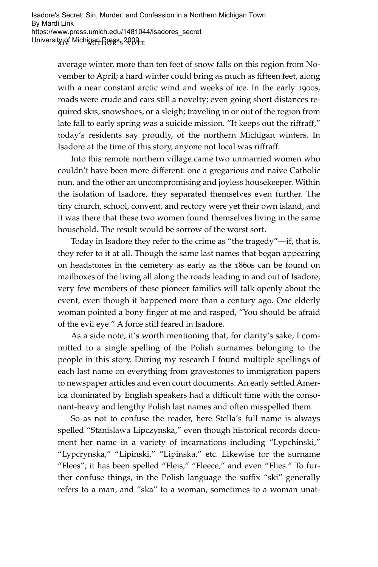average winter, more than ten feet of snow falls on this region from November to April; a hard winter could bring as much as fifteen feet, along with a near constant arctic wind and weeks of ice. In the early 1900s, roads were crude and cars still a novelty; even going short distances required skis, snowshoes, or a sleigh; traveling in or out of the region from late fall to early spring was a suicide mission. "It keeps out the riffraff," today's residents say proudly, of the northern Michigan winters. In Isadore at the time of this story, anyone not local was riffraff.

Into this remote northern village came two unmarried women who couldn't have been more different: one a gregarious and naive Catholic nun, and the other an uncompromising and joyless housekeeper. Within the isolation of Isadore, they separated themselves even further. The tiny church, school, convent, and rectory were yet their own island, and it was there that these two women found themselves living in the same household. The result would be sorrow of the worst sort.

Today in Isadore they refer to the crime as "the tragedy"—if, that is, they refer to it at all. Though the same last names that began appearing on headstones in the cemetery as early as the 1860s can be found on mailboxes of the living all along the roads leading in and out of Isadore, very few members of these pioneer families will talk openly about the event, even though it happened more than a century ago. One elderly woman pointed a bony finger at me and rasped, "You should be afraid of the evil eye." A force still feared in Isadore.

As a side note, it's worth mentioning that, for clarity's sake, I committed to a single spelling of the Polish surnames belonging to the people in this story. During my research I found multiple spellings of each last name on everything from gravestones to immigration papers to newspaper articles and even court documents. An early settled America dominated by English speakers had a difficult time with the consonant-heavy and lengthy Polish last names and often misspelled them.

So as not to confuse the reader, here Stella's full name is always spelled "Stanislawa Lipczynska," even though historical records document her name in a variety of incarnations including "Lypchinski," "Lypcrynska," "Lipinski," "Lipinska," etc. Likewise for the surname "Flees"; it has been spelled "Fleis," "Fleece," and even "Flies." To further confuse things, in the Polish language the suffix "ski" generally refers to a man, and "ska" to a woman, sometimes to a woman unat-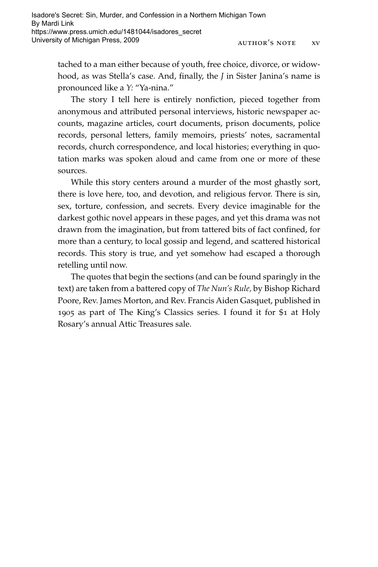tached to a man either because of youth, free choice, divorce, or widowhood, as was Stella's case. And, finally, the *J* in Sister Janina's name is pronounced like a *Y:* "Ya-nina."

The story I tell here is entirely nonfiction, pieced together from anonymous and attributed personal interviews, historic newspaper accounts, magazine articles, court documents, prison documents, police records, personal letters, family memoirs, priests' notes, sacramental records, church correspondence, and local histories; everything in quotation marks was spoken aloud and came from one or more of these sources.

While this story centers around a murder of the most ghastly sort, there is love here, too, and devotion, and religious fervor. There is sin, sex, torture, confession, and secrets. Every device imaginable for the darkest gothic novel appears in these pages, and yet this drama was not drawn from the imagination, but from tattered bits of fact confined, for more than a century, to local gossip and legend, and scattered historical records. This story is true, and yet somehow had escaped a thorough retelling until now.

The quotes that begin the sections (and can be found sparingly in the text) are taken from a battered copy of *The Nun's Rule,* by Bishop Richard Poore, Rev. James Morton, and Rev. Francis Aiden Gasquet, published in 1905 as part of The King's Classics series. I found it for \$1 at Holy Rosary's annual Attic Treasures sale.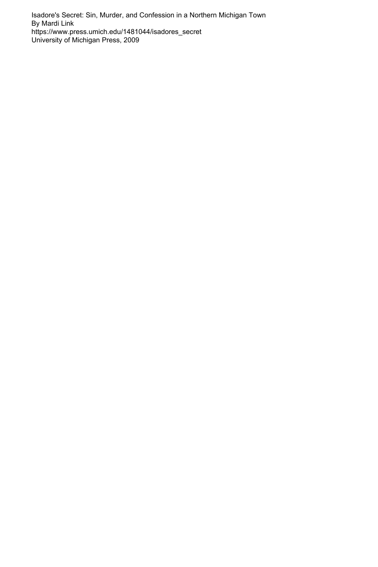Isadore's Secret: Sin, Murder, and Confession in a Northern Michigan Town By Mardi Link https://www.press.umich.edu/1481044/isadores\_secret University of Michigan Press, 2009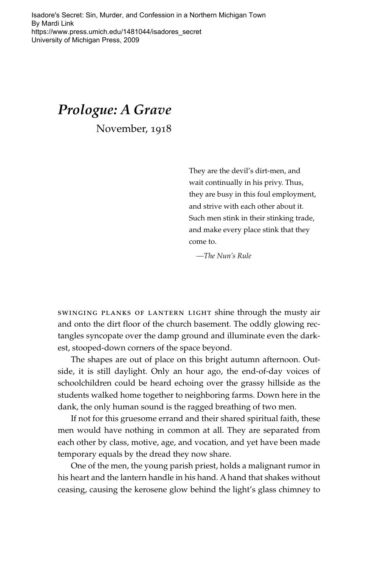## *Prologue: A Grave*

November, 1918

They are the devil's dirt-men, and wait continually in his privy. Thus, they are busy in this foul employment, and strive with each other about it. Such men stink in their stinking trade, and make every place stink that they come to.

*—The Nun's Rule*

swinging planks of lantern light shine through the musty air and onto the dirt floor of the church basement. The oddly glowing rectangles syncopate over the damp ground and illuminate even the darkest, stooped-down corners of the space beyond.

The shapes are out of place on this bright autumn afternoon. Outside, it is still daylight. Only an hour ago, the end-of-day voices of schoolchildren could be heard echoing over the grassy hillside as the students walked home together to neighboring farms. Down here in the dank, the only human sound is the ragged breathing of two men.

If not for this gruesome errand and their shared spiritual faith, these men would have nothing in common at all. They are separated from each other by class, motive, age, and vocation, and yet have been made temporary equals by the dread they now share.

One of the men, the young parish priest, holds a malignant rumor in his heart and the lantern handle in his hand. A hand that shakes without ceasing, causing the kerosene glow behind the light's glass chimney to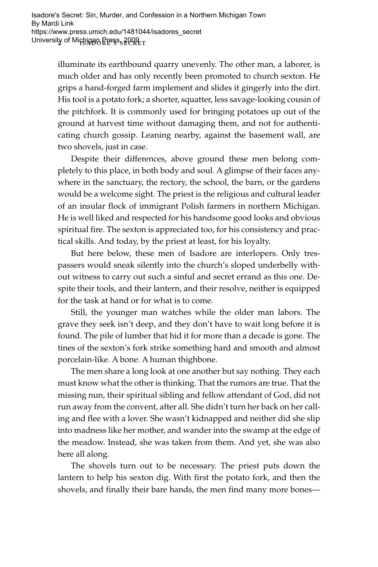illuminate its earthbound quarry unevenly. The other man, a laborer, is much older and has only recently been promoted to church sexton. He grips a hand-forged farm implement and slides it gingerly into the dirt. His tool is a potato fork; a shorter, squatter, less savage-looking cousin of the pitchfork. It is commonly used for bringing potatoes up out of the ground at harvest time without damaging them, and not for authenticating church gossip. Leaning nearby, against the basement wall, are two shovels, just in case.

Despite their differences, above ground these men belong completely to this place, in both body and soul. A glimpse of their faces anywhere in the sanctuary, the rectory, the school, the barn, or the gardens would be a welcome sight. The priest is the religious and cultural leader of an insular flock of immigrant Polish farmers in northern Michigan. He is well liked and respected for his handsome good looks and obvious spiritual fire. The sexton is appreciated too, for his consistency and practical skills. And today, by the priest at least, for his loyalty.

But here below, these men of Isadore are interlopers. Only trespassers would sneak silently into the church's sloped underbelly without witness to carry out such a sinful and secret errand as this one. Despite their tools, and their lantern, and their resolve, neither is equipped for the task at hand or for what is to come.

Still, the younger man watches while the older man labors. The grave they seek isn't deep, and they don't have to wait long before it is found. The pile of lumber that hid it for more than a decade is gone. The tines of the sexton's fork strike something hard and smooth and almost porcelain-like. A bone. A human thighbone.

The men share a long look at one another but say nothing. They each must know what the other is thinking. That the rumors are true. That the missing nun, their spiritual sibling and fellow attendant of God, did not run away from the convent, after all. She didn't turn her back on her calling and flee with a lover. She wasn't kidnapped and neither did she slip into madness like her mother, and wander into the swamp at the edge of the meadow. Instead, she was taken from them. And yet, she was also here all along.

The shovels turn out to be necessary. The priest puts down the lantern to help his sexton dig. With first the potato fork, and then the shovels, and finally their bare hands, the men find many more bones